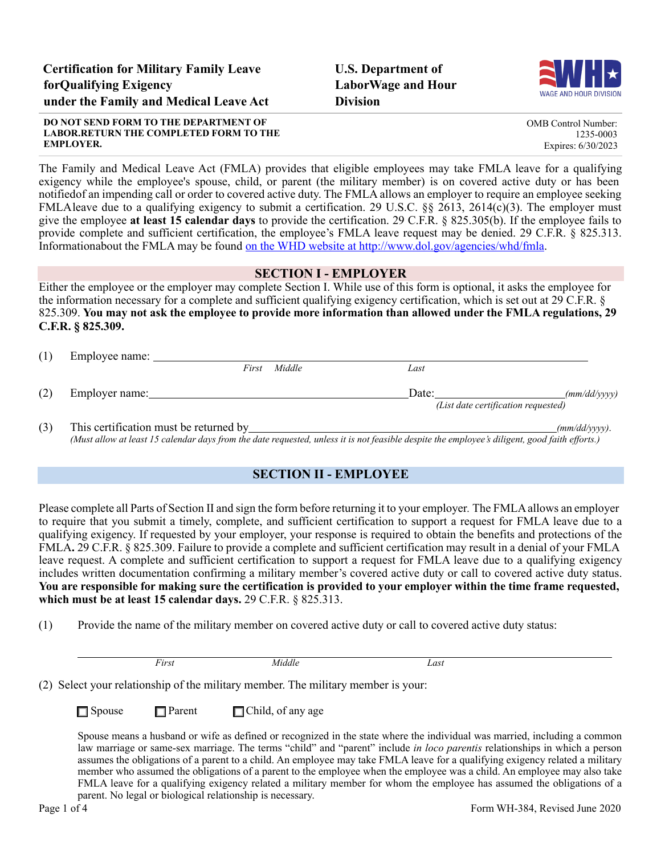**U.S. Department of LaborWage and Hour Division**



OMB Control Number: 1235-0003 Expires: 6/30/2023

**DO NOT SEND FORM TO THE DEPARTMENT OF LABOR.RETURN THE COMPLETED FORM TO THE EMPLOYER.**

The Family and Medical Leave Act (FMLA) provides that eligible employees may take FMLA leave for a qualifying exigency while the employee's spouse, child, or parent (the military member) is on covered active duty or has been notifiedof an impending call or order to covered active duty. The FMLA allows an employer to require an employee seeking FMLA leave due to a qualifying exigency to submit a certification. 29 U.S.C. §§ 2613, 2614(c)(3). The employer must give the employee **at least 15 calendar days** to provide the certification. 29 C.F.R. § 825.305(b). If the employee fails to provide complete and sufficient certification, the employee's FMLA leave request may be denied. 29 C.F.R. § 825.313. Informationabout the FMLA may be found on the WHD website at [http://www.dol.gov/agencies/whd/fmla.](http://www.dol.gov/agencies/whd/fmla)

# **SECTION I - EMPLOYER**

Either the employee or the employer may complete Section I. While use of this form is optional, it asks the employee for the information necessary for a complete and sufficient qualifying exigency certification, which is set out at 29 C.F.R. § 825.309. **You may not ask the employee to provide more information than allowed under the FMLA regulations, 29 C.F.R. § 825.309.**

| (1) | Employee name:                         |        |       |                                     |                  |
|-----|----------------------------------------|--------|-------|-------------------------------------|------------------|
|     | First                                  | Middle | Last  |                                     |                  |
| (2) | Employer name:                         |        | Date: | (List date certification requested) | (mm/dd/vvvv)     |
| (3) | This certification must be returned by |        |       |                                     | $(mm/dd/yyyy)$ . |

(Must allow at least 15 calendar days from the date requested, unless it is not feasible despite the employee's diligent, good faith efforts.)

# **SECTION II - EMPLOYEE**

Please complete all Parts of Section II and sign the form before returning it to your employer*.* The FMLAallows an employer to require that you submit a timely, complete, and sufficient certification to support a request for FMLA leave due to a qualifying exigency. If requested by your employer, your response is required to obtain the benefits and protections of the FMLA**.** 29 C.F.R. § 825.309. Failure to provide a complete and sufficient certification may result in a denial of your FMLA leave request. A complete and sufficient certification to support a request for FMLA leave due to a qualifying exigency includes written documentation confirming a military member's covered active duty or call to covered active duty status. You are responsible for making sure the certification is provided to your employer within the time frame requested, **which must be at least 15 calendar days.** 29 C.F.R. § 825.313.

(1) Provide the name of the military member on covered active duty or call to covered active duty status:

|                                                                                   | First         | Middle                   | Last                                                                                                                      |  |
|-----------------------------------------------------------------------------------|---------------|--------------------------|---------------------------------------------------------------------------------------------------------------------------|--|
| (2) Select your relationship of the military member. The military member is your: |               |                          |                                                                                                                           |  |
| $\Box$ Spouse                                                                     | $\Box$ Parent | $\Box$ Child, of any age |                                                                                                                           |  |
|                                                                                   |               |                          | Spouse means a husband or wife as defined or recognized in the state where the individual was married, including a common |  |

law marriage or same-sex marriage. The terms "child" and "parent" include *in loco parentis* relationships in which a person assumes the obligations of a parent to a child. An employee may take FMLA leave for a qualifying exigency related a military member who assumed the obligations of a parent to the employee when the employee was a child. An employee may also take FMLA leave for a qualifying exigency related a military member for whom the employee has assumed the obligations of a parent. No legal or biological relationship is necessary.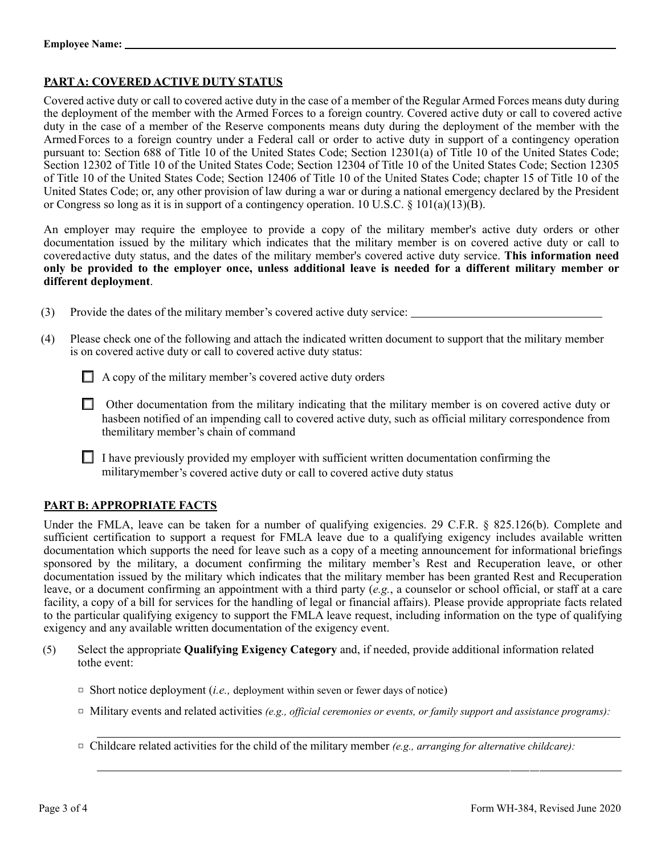# **PART A: COVERED ACTIVE DUTY STATUS**

Covered active duty or call to covered active duty in the case of a member of the Regular Armed Forces means duty during the deployment of the member with the Armed Forces to a foreign country. Covered active duty or call to covered active duty in the case of a member of the Reserve components means duty during the deployment of the member with the ArmedForces to a foreign country under a Federal call or order to active duty in support of a contingency operation pursuant to: Section 688 of Title 10 of the United States Code; Section 12301(a) of Title 10 of the United States Code; Section 12302 of Title 10 of the United States Code; Section 12304 of Title 10 of the United States Code; Section 12305 of Title 10 of the United States Code; Section 12406 of Title 10 of the United States Code; chapter 15 of Title 10 of the United States Code; or, any other provision of law during a war or during a national emergency declared by the President or Congress so long as it is in support of a contingency operation. 10 U.S.C.  $\S$  101(a)(13)(B).

An employer may require the employee to provide a copy of the military member's active duty orders or other documentation issued by the military which indicates that the military member is on covered active duty or call to coveredactive duty status, and the dates of the military member's covered active duty service. **This information need only be provided to the employer once, unless additional leave is needed for a different military member or different deployment**.

- (3) Provide the dates of the military member's covered active duty service:
- (4) Please check one of the following and attach the indicated written document to support that the military member is on covered active duty or call to covered active duty status:
	- □ A copy of the military member's covered active duty orders
	- □ Other documentation from the military indicating that the military member is on covered active duty or hasbeen notified of an impending call to covered active duty, such as official military correspondence from themilitary member's chain of command
	- $\Box$  I have previously provided my employer with sufficient written documentation confirming the militarymember's covered active duty or call to covered active duty status

## **PART B: APPROPRIATE FACTS**

Under the FMLA, leave can be taken for a number of qualifying exigencies. 29 C.F.R. § 825.126(b). Complete and sufficient certification to support a request for FMLA leave due to a qualifying exigency includes available written documentation which supports the need for leave such as a copy of a meeting announcement for informational briefings sponsored by the military, a document confirming the military member's Rest and Recuperation leave, or other documentation issued by the military which indicates that the military member has been granted Rest and Recuperation leave, or a document confirming an appointment with a third party (*e.g.*, a counselor or school official, or staff at a care facility, a copy of a bill for services for the handling of legal or financial affairs). Please provide appropriate facts related to the particular qualifying exigency to support the FMLA leave request, including information on the type of qualifying exigency and any available written documentation of the exigency event.

- (5) Select the appropriate **Qualifying Exigency Category** and, if needed, provide additional information related tothe event:
	- $\Box$  Short notice deployment (*i.e.*, deployment within seven or fewer days of notice)
	- □ Military events and related activities *(e.g., official ceremonies or events, or family support and assistance programs):*
	- □ Childcare related activities for the child of the military member *(e.g., arranging for alternative childcare):*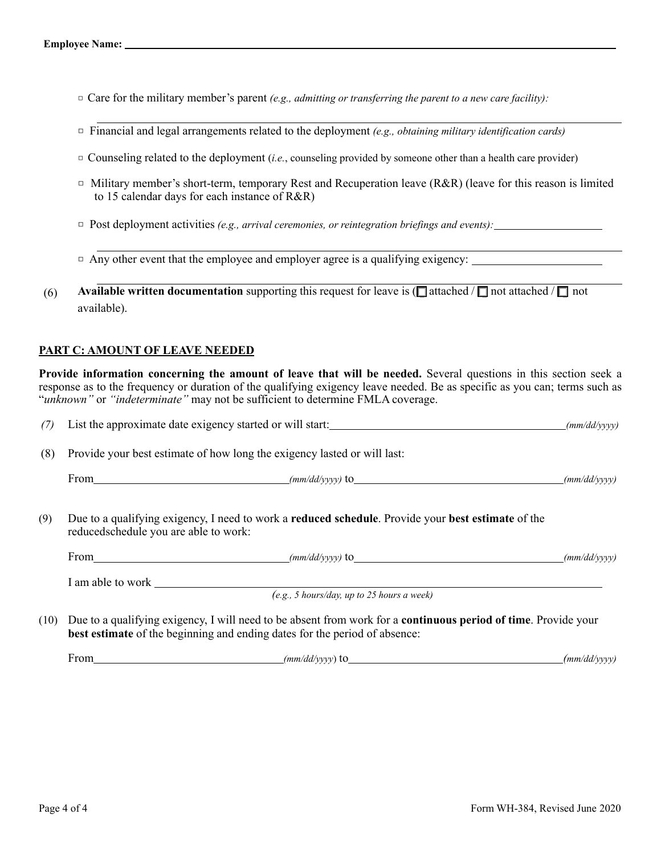- □ Care for the military member's parent *(e.g., admitting or transferring the parent to a new care facility):*
- □ Financial and legal arrangements related to the deployment *(e.g., obtaining military identification cards)*
- $\Box$  Counseling related to the deployment *(i.e.*, counseling provided by someone other than a health care provider)
- □ Military member's short-term, temporary Rest and Recuperation leave (R&R) (leave for this reason is limited to 15 calendar days for each instance of R&R)
- □ Post deployment activities *(e.g., arrival ceremonies, or reintegration briefings and events):*
- $\Box$  Any other event that the employee and employer agree is a qualifying exigency:
- (6) **Available written documentation** supporting this request for leave is ( $\Box$  attached /  $\Box$  not attached /  $\Box$  not available).

# **PART C: AMOUNT OF LEAVE NEEDED**

**Provide information concerning the amount of leave that will be needed.** Several questions in this section seek a response as to the frequency or duration of the qualifying exigency leave needed. Be as specific as you can; terms such as "*unknown"* or *"indeterminate"* may not be sufficient to determine FMLA coverage.

| (7) List the approximate date exigency started or will start: | (mm/dd/yyyy) |
|---------------------------------------------------------------|--------------|
|                                                               |              |

(8) Provide your best estimate of how long the exigency lasted or will last:

| $\sim$<br>From<br>$+ \sim$<br>'mm/<br>,,,,,,<br>'mm<br>. .<br>-av |
|-------------------------------------------------------------------|
|-------------------------------------------------------------------|

(9) Due to a qualifying exigency, I need to work a **reduced schedule**. Provide your **best estimate** of the reducedschedule you are able to work:

| From              | $(mm/dd/vvvv)$ to | (mm/dd/vvvv) |
|-------------------|-------------------|--------------|
|                   |                   |              |
| I am able to work |                   |              |

*(e.g., 5 hours/day, up to 25 hours a week)*

(10) Due to a qualifying exigency, I will need to be absent from work for a **continuous period of time**. Provide your **best estimate** of the beginning and ending dates for the period of absence:

From *(mm/dd/yyyy*) to *(mm/dd/yyyy)*